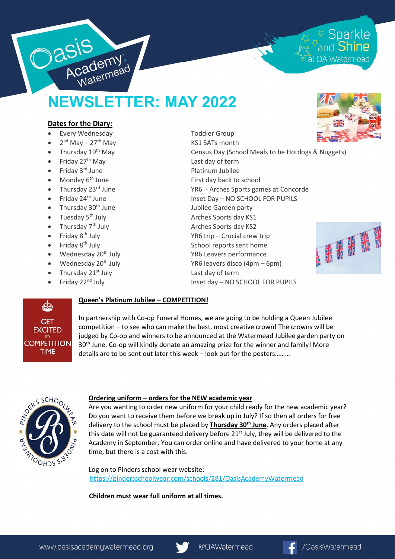

# NEWSLETTER: MAY 2022

## Dates for the Diary:

- Every Wednesday **Toddler Group**
- 2<sup>nd</sup> May 27<sup>th</sup> May **KS1 SATs month**
- 
- Friday  $27<sup>th</sup>$  May  $27<sup>th</sup>$  May  $27<sup>th</sup>$  May  $27<sup>th</sup>$  May  $27<sup>th</sup>$  May  $27<sup>th</sup>$  May  $27<sup>th</sup>$  May  $27<sup>th</sup>$  May  $27<sup>th</sup>$  May  $27<sup>th</sup>$  May  $27<sup>th</sup>$  May  $27<sup>th</sup>$  May  $27<sup>th</sup>$  May  $27<$
- Friday 3<sup>rd</sup> June **Platinum Jubilee**
- 
- 
- 
- Thursday 30<sup>th</sup> June Jubilee Garden party
- Tuesday 5<sup>th</sup> July **Arches Sports day KS1**
- Thursday  $7<sup>th</sup>$  July  $\overline{ }$  Arches Sports day KS2
- 
- 
- 
- 
- Thursday 21<sup>st</sup> July **Last day of term**
- 

• Thursday 19<sup>th</sup> May **Census Day (School Meals to be Hotdogs & Nuggets)** • Monday 6<sup>th</sup> June First day back to school • Thursday 23<sup>rd</sup> June YR6 - Arches Sports games at Concorde • Friday 24<sup>th</sup> June Inset Day – NO SCHOOL FOR PUPILS

- Friday  $8^{th}$  July  $\overline{8}$   $\overline{8}$   $\overline{1}$   $\overline{1}$   $\overline{2}$   $\overline{1}$   $\overline{2}$   $\overline{2}$   $\overline{2}$   $\overline{2}$   $\overline{2}$   $\overline{2}$   $\overline{2}$   $\overline{2}$   $\overline{2}$   $\overline{2}$   $\overline{2}$   $\overline{2}$   $\overline{2}$   $\overline{2}$   $\overline{2}$   $\overline{2}$   $\$
- Friday  $8<sup>th</sup>$  July  $\qquad \qquad$  School reports sent home
- Wednesday 20<sup>th</sup> July **The Contract Contract Contract VR6** Leavers performance
- Wednesday  $20^{th}$  July  $YR6$  leavers disco  $(4pm 6pm)$ 
	- Friday 22<sup>nd</sup> July **Inset day NO SCHOOL FOR PUPILS**



## **REGI GET EXCITED** IT'S **COMPETITION TIME**

### Queen's Platinum Jubilee – COMPETITION!

In partnership with Co-op Funeral Homes, we are going to be holding a Queen Jubilee competition – to see who can make the best, most creative crown! The crowns will be judged by Co-op and winners to be announced at the Watermead Jubilee garden party on 30<sup>th</sup> June. Co-op will kindly donate an amazing prize for the winner and family! More details are to be sent out later this week – look out for the posters………



#### Ordering uniform – orders for the NEW academic year

Are you wanting to order new uniform for your child ready for the new academic year? Do you want to receive them before we break up in July? If so then all orders for free delivery to the school must be placed by Thursday 30<sup>th</sup> June. Any orders placed after this date will not be guaranteed delivery before  $21<sup>st</sup>$  July, they will be delivered to the Academy in September. You can order online and have delivered to your home at any time, but there is a cost with this.

Log on to Pinders school wear website: https://pindersschoolwear.com/schools/281/OasisAcademyWatermead

Children must wear full uniform at all times.





<sup>स्र</sup> Sparkle<br>and **Shine** 

at OA Watermead